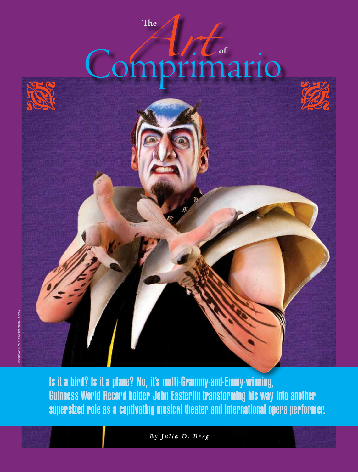# Comprimario **of**

**The**



Is it a bird? Is it a plane? No, it's multi-Grammy-and-Emmy-winning, Guinness World Record holder John Easterlin transforming his way into another supersized role as a captivating musical theater and international opera performer.

*By Julia D. Berg*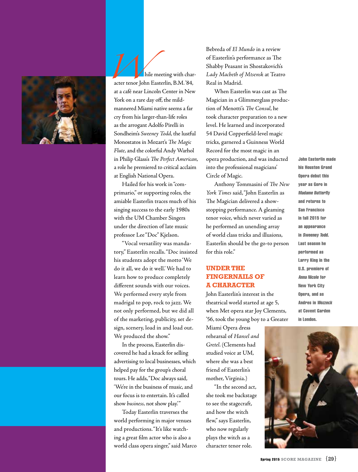

hile meeting with character tenor John Easterlin, B.M. '84, at a café near Lincoln Center in New York on a rare day off, the mildmannered Miami native seems a far cry from his larger-than-life roles as the arrogant Adolfo Pirelli in Sondheim's *Sweeney Todd*, the lustful Monostatos in Mozart's *The Magic Flute*, and the colorful Andy Warhol in Philip Glass's *The Perfect American*, a role he premiered to critical acclaim at English National Opera.

Hailed for his work in "comprimario," or supporting roles, the amiable Easterlin traces much of his singing success to the early 1980s with the UM Chamber Singers under the direction of late music professor Lee "Doc" Kjelson.

"Vocal versatility was mandatory," Easterlin recalls. "Doc insisted his students adopt the motto 'We do it all, we do it well.' We had to learn how to produce completely different sounds with our voices. We performed every style from madrigal to pop, rock to jazz. We not only performed, but we did all of the marketing, publicity, set design, scenery, load in and load out. We produced the show."

In the process, Easterlin discovered he had a knack for selling advertising to local businesses, which helped pay for the group's choral tours. He adds, "Doc always said, 'We're in the business of music, and our focus is to entertain. It's called show *business,* not show play.'"

Today Easterlin traverses the world performing in major venues and productions. "It's like watching a great film actor who is also a world class opera singer," said Marco Bebreda of *El Mundo* in a review of Easterlin's performance as The Shabby Peasant in Shostakovich's *Lady Macbeth of Mtsensk* at Teatro Real in Madrid.

When Easterlin was cast as The Magician in a Glimmerglass production of Menotti's *The Consul*, he took character preparation to a new level. He learned and incorporated 54 David Copperfield-level magic tricks, garnered a Guinness World Record for the most magic in an opera production, and was inducted into the professional magicians' Circle of Magic.

Anthony Tommasini of *The New York Times* said, "John Easterlin as The Magician delivered a showstopping performance. A gleaming tenor voice, which never varied as he performed an unending array of world class tricks and illusions, Easterlin should be the go-to person for this role."

### **Under the Fingernails of a Character**

John Easterlin's interest in the theatrical world started at age 5, when Met opera star Joy Clements, '56, took the young boy to a Greater

Miami Opera dress rehearsal of *Hansel and Gretel*. (Clements had studied voice at UM, where she was a best friend of Easterlin's mother, Virginia.)

"In the second act, she took me backstage to see the stagecraft, and how the witch flew," says Easterlin, who now regularly plays the witch as a character tenor role.

John Easterlin made his Houston Grand Opera debut this year as Goro in Madame Butterfly and returns to San Francisco in fall 2015 for an appearance in Sweeney Todd. Last season he performed as Larry King in the U.S. premiere of Anna Nicole for New York City Opera, and as Andres in Wozzeck at Covent Garden in London.

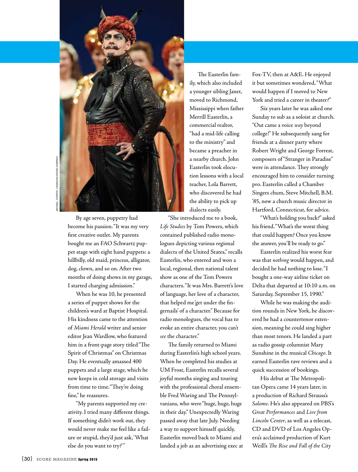

By age seven, puppetry had become his passion. "It was my very first creative outlet. My parents bought me an FAO Schwartz puppet stage with eight hand puppets: a hillbilly, old maid, princess, alligator, dog, clown, and so on. After two months of doing shows in my garage, I started charging admission."

When he was 10, he presented a series of puppet shows for the children's ward at Baptist Hospital. His kindness came to the attention of *Miami Herald* writer and senior editor Jean Wardlow, who featured him in a front-page story titled "The Spirit of Christmas" on Christmas Day. He eventually amassed 400 puppets and a large stage, which he now keeps in cold storage and visits from time to time. "They're doing fine," he reassures.

"My parents supported my creativity. I tried many different things. If something didn't work out, they would never make me feel like a failure or stupid, they'd just ask, 'What else do you want to try?'"

The Easterlin family, which also included a younger sibling Janet, moved to Richmond, Mississippi when father Merrill Easterlin, a commercial realtor, "had a mid-life calling to the ministry" and became a preacher in a nearby church. John Easterlin took elocution lessons with a local teacher, Lola Barrett, who discovered he had the ability to pick up dialects easily.

"She introduced me to a book, *Life Studies* by Tom Powers, which contained published radio monologues depicting various regional dialects of the United States," recalls Easterlin, who entered and won a local, regional, then national talent show as one of the Tom Powers characters. "It was Mrs. Barrett's love of language, her love of a character, that helped me 'get under the fingernails' of a character." Because for radio monologues, the vocal has to evoke an entire character, you can't *see* the character."

The family returned to Miami during Easterlin's high school years. When he completed his studies at UM Frost, Easterlin recalls several joyful months singing and touring with the professional choral ensemble Fred Waring and The Pennsylvanians, who were "huge, huge, huge in their day." Unexpectedly Waring passed away that late July. Needing a way to support himself quickly, Easterlin moved back to Miami and landed a job as an advertising exec at Fox-TV, then at A&E. He enjoyed it but sometimes wondered, "What would happen if I moved to New York and tried a career in theater?"

Six years later he was asked one Sunday to sub as a soloist at church. "Out came a voice *way* beyond college!" He subsequently sang for friends at a dinner party where Robert Wright and George Forrest, composers of "Stranger in Paradise" were in attendance. They strongly encouraged him to consider turning pro. Easterlin called a Chamber Singers chum, Steve Mitchell, B.M. '85, now a church music director in Hartford, Connecticut, for advice.

"What's holding you back?" asked his friend. "What's the worst thing that could happen? Once you know the answer, you'll be ready to go."

Easterlin realized his worst fear was that *nothing* would happen, and decided he had nothing to lose. "I bought a one-way airline ticket on Delta that departed at 10:10 a.m. on Saturday, September 15, 1990."

While he was making the audition rounds in New York, he discovered he had a countertenor extension, meaning he could sing higher than most tenors. He landed a part as radio gossip columnist Mary Sunshine in the musical *Chicago*. It earned Easterlin rave reviews and a quick succession of bookings.

His debut at The Metropolitan Opera came 14 years later, in a production of Richard Strauss's *Salome*. He's also appeared on PBS's *Great Performances* and *Live from Lincoln Center*, as well as a telecast, CD and DVD of Los Angeles Opera's acclaimed production of Kurt Weill's *The Rise and Fall of the City*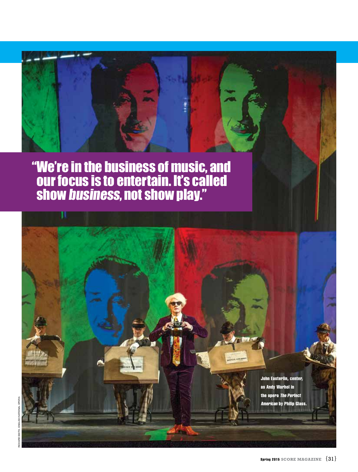# "We're in the business of music, and our focus is to entertain. It's called show business, not show play."

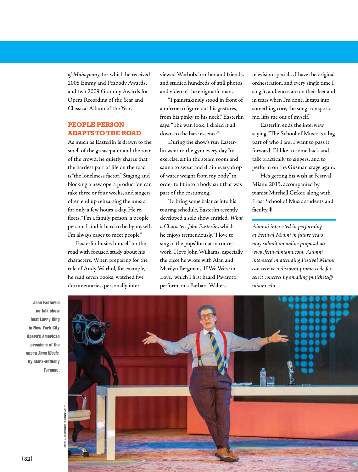*of Mahagonny*, for which he received 2008 Emmy and Peabody Awards, and two 2009 Grammy Awards for Opera Recording of the Year and Classical Album of the Year.

## **People Person Adapts to the Road**

As much as Easterlin is drawn to the smell of the greasepaint and the roar of the crowd, he quietly shares that the hardest part of life on the road is "the loneliness factor." Staging and blocking a new opera production can take three or four weeks, and singers often end up rehearsing the music for only a few hours a day. He reflects, "I'm a family person, a people person. I find it hard to be by myself; I'm always eager to meet people."

Easterlin busies himself on the road with focused study about his characters. When preparing for the role of Andy Warhol, for example, he read seven books, watched five documentaries, personally interviewed Warhol's brother and friends, and studied hundreds of still photos and video of the enigmatic man.

"I painstakingly stood in front of a mirror to figure out his gestures, from his pinky to his neck," Easterlin says. "The wan look. I dialed it all down to the bare essence."

During the show's run Easterlin went to the gym every day, "to exercise, sit in the steam room and sauna to sweat and drain every drop of water weight from my body" in order to fit into a body suit that was part of the costuming.

To bring some balance into his touring schedule, Easterlin recently developed a solo show entitled, *What a Character: John Easterlin*, which he enjoys tremendously. "I love to sing in the 'pops' format in concert work. I love John Williams, especially the piece he wrote with Alan and Marilyn Bergman, "If We Were in Love," which I first heard Pavarotti perform on a Barbara Walters

television special…I have the original orchestration, and every single time I sing it, audiences are on their feet and in tears when I'm done. It taps into something core, the song transports me, lifts me out of myself."

Easterlin ends the interview saying, "The School of Music is a big part of who I am. I want to pass it forward. I'd like to come back and talk practically to singers, and to perform on the Gusman stage again."

He's getting his wish at Festival Miami 2015, accompanied by pianist Mitchell Cirker, along with Frost School of Music students and faculty.

*Alumni interested in performing at Festival Miami in future years may submit an online proposal at: www.festivalmiami.com. Alumni interested in attending Festival Miami can receive a discount promo code for select concerts by emailing fmtickets@ miami.edu.*

John Easterlin as talk show host Larry King in New York City Opera's American premiere of the opera Anna Nicole, by Mark-Anthony Turnage.



Stephanie Berger Photography